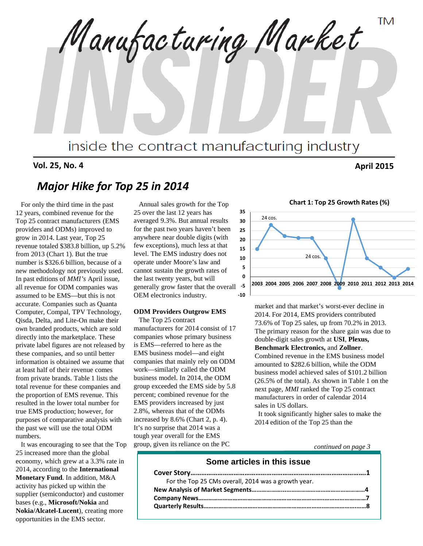**TM** Manufacturing Market inside the contract manufacturing industry

### **Vol. 25, No. 4 April 2015**

# *Major Hike for Top 25 in 2014*

 For only the third time in the past 12 years, combined revenue for the Top 25 contract manufacturers (EMS providers and ODMs) improved to grow in 2014. Last year, Top 25 revenue totaled \$383.8 billion, up 5.2% from 2013 (Chart 1). But the true number is \$326.6 billion, because of a new methodology not previously used. In past editions of *MMI's* April issue, all revenue for ODM companies was assumed to be EMS—but this is not accurate. Companies such as Quanta Computer, Compal, TPV Technology, Qisda, Delta, and Lite-On make their own branded products, which are sold directly into the marketplace. These private label figures are not released by these companies, and so until better information is obtained we assume that at least half of their revenue comes from private brands. Table 1 lists the total revenue for these companies and the proportion of EMS revenue. This resulted in the lower total number for true EMS production; however, for purposes of comparative analysis with the past we will use the total ODM numbers.

 It was encouraging to see that the Top 25 increased more than the global economy, which grew at a 3.3% rate in 2014, according to the **International Monetary Fund**. In addition, M&A activity has picked up within the supplier (semiconductor) and customer bases (e.g., **Microsoft/Nokia** and **Nokia/Alcatel-Lucent**), creating more opportunities in the EMS sector.

 Annual sales growth for the Top 25 over the last 12 years has averaged 9.3%. But annual results for the past two years haven't been anywhere near double digits (with few exceptions), much less at that level. The EMS industry does not operate under Moore's law and cannot sustain the growth rates of the last twenty years, but will generally grow faster that the overall OEM electronics industry.

#### **ODM Providers Outgrow EMS**

The Top 25 contract manufacturers for 2014 consist of 17 companies whose primary business is EMS—referred to here as the EMS business model—and eight companies that mainly rely on ODM work—similarly called the ODM business model. In 2014, the ODM group exceeded the EMS side by 5.8 percent; combined revenue for the EMS providers increased by just 2.8%, whereas that of the ODMs increased by 8.6% (Chart 2, p. 4). It's no surprise that 2014 was a tough year overall for the EMS group, given its reliance on the PC





market and that market's worst-ever decline in 2014. For 2014, EMS providers contributed 73.6% of Top 25 sales, up from 70.2% in 2013. The primary reason for the share gain was due to double-digit sales growth at **USI**, **Plexus, Benchmark Electronics,** and **Zollner**. Combined revenue in the EMS business model amounted to \$282.6 billion, while the ODM business model achieved sales of \$101.2 billion (26.5% of the total). As shown in Table 1 on the next page, *MMI* ranked the Top 25 contract manufacturers in order of calendar 2014 sales in US dollars.

It took significantly higher sales to make the 2014 edition of the Top 25 than the

*continued on page 3*

#### **Some articles in this issue**

| For the Top 25 CMs overall, 2014 was a growth year. |  |
|-----------------------------------------------------|--|
|                                                     |  |
|                                                     |  |
|                                                     |  |
|                                                     |  |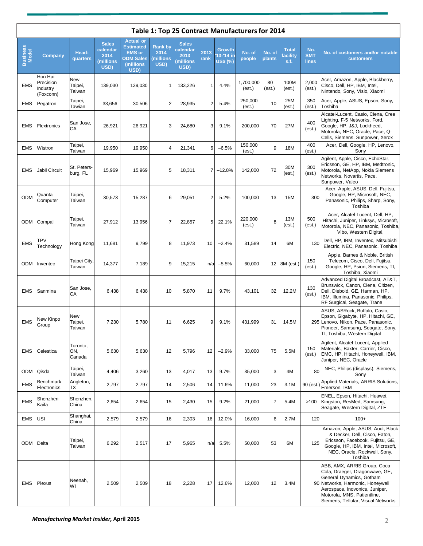|                   | Table 1: Top 25 Contract Manufacturers for 2014 |                           |                                                       |                                                                                                 |                                            |                                                       |                |                                                  |                     |                  |                                  |                            |                                                                                                                                                                                                                                       |
|-------------------|-------------------------------------------------|---------------------------|-------------------------------------------------------|-------------------------------------------------------------------------------------------------|--------------------------------------------|-------------------------------------------------------|----------------|--------------------------------------------------|---------------------|------------------|----------------------------------|----------------------------|---------------------------------------------------------------------------------------------------------------------------------------------------------------------------------------------------------------------------------------|
| Business<br>Model | Company                                         | Head-<br>quarters         | <b>Sales</b><br>calendar<br>2014<br>(millions<br>USD) | <b>Actual or</b><br><b>Estimated</b><br><b>EMS</b> or<br><b>ODM Sales</b><br>(millions)<br>USD) | <b>Rank by</b><br>2014<br>millions<br>USD) | <b>Sales</b><br>calendar<br>2013<br>(millions<br>USD) | 2013<br>rank   | <b>Growth</b><br>$13 - 14$ in<br><b>US\$ (%)</b> | No. of<br>people    | No. of<br>plants | <b>Total</b><br>facility<br>s.f. | No.<br><b>SMT</b><br>lines | No. of customers and/or notable<br><b>customers</b>                                                                                                                                                                                   |
| <b>EMS</b>        | Hon Hai<br>Precision<br>Industry<br>(Foxconn)   | New<br>Taipei,<br>Taiwan  | 139,030                                               | 139,030                                                                                         | 1                                          | 133,226                                               | 1              | 4.4%                                             | 1,700,000<br>(est.) | 80<br>(est.)     | 100M<br>(est.)                   | 2,000<br>(est.)            | Acer, Amazon, Apple, Blackberry,<br>Cisco, Dell, HP, IBM, Intel,<br>Nintendo, Sony, Visio, Xiaomi                                                                                                                                     |
| EMS               | Pegatron                                        | Taipei,<br>Tawian         | 33,656                                                | 30,506                                                                                          | $\overline{2}$                             | 28,935                                                | 2              | 5.4%                                             | 250,000<br>(est.)   | 10               | 25M<br>(est.)                    | 350<br>(est.)              | Acer, Apple, ASUS, Epson, Sony,<br>Toshiba                                                                                                                                                                                            |
| <b>EMS</b>        | Flextronics                                     | San Jose.<br>CА           | 26,921                                                | 26,921                                                                                          | 3                                          | 24,680                                                | 3              | 9.1%                                             | 200,000             | 70               | 27M                              | 400<br>(est.)              | Alcatel-Lucent, Casio, Ciena, Cree<br>Lighting, F-5 Networks, Ford,<br>Google, HP, J&J, Lockheed,<br>Motorola, NEC, Oracle, Pace, Q-<br>Cells, Siemens, Sunpower, Xerox                                                               |
| <b>EMS</b>        | Wistron                                         | Taipei,<br>Taiwan         | 19,950                                                | 19,950                                                                                          | 4                                          | 21,341                                                | 6              | $-6.5%$                                          | 150,000<br>(est.)   | 9                | 18M                              | 400<br>(est.)              | Acer, Dell, Google, HP, Lenovo,<br>Sony                                                                                                                                                                                               |
| <b>EMS</b>        | Jabil Circuit                                   | St. Peters-<br>burg, FL   | 15,969                                                | 15,969                                                                                          | 5                                          | 18,311                                                | $\overline{7}$ | $-12.8%$                                         | 142,000             | 72               | 30M<br>(est.)                    | 300<br>(est.)              | Agilent, Apple, Cisco, EchoStar,<br>Ericsson, GE, HP, IBM, Medtronic,<br>Motorola, NetApp, Nokia Siemens<br>Networks, Novartis, Pace,<br>Sunpower, Valeo                                                                              |
| ODM               | Quanta<br>Computer                              | Taipei,<br>Taiwan         | 30,573                                                | 15,287                                                                                          | 6                                          | 29,051                                                | 2              | 5.2%                                             | 100,000             | 13               | 15M                              | 300                        | Acer, Apple, ASUS, Dell, Fujitsu,<br>Google, HP, Microsoft, NEC,<br>Panasonic, Philips, Sharp, Sony,<br>Toshiba                                                                                                                       |
| ODM               | Compal                                          | Taipei,<br>Taiwan         | 27,912                                                | 13,956                                                                                          | 7                                          | 22,857                                                | 5              | 22.1%                                            | 220,000<br>(est.)   | 8                | 13M<br>(est.)                    | 500<br>(est.)              | Acer, Alcatel-Lucent, Dell, HP,<br>Hitachi, Juniper, Linksys, Microsoft,<br>Motorola, NEC, Panasonic, Toshiba,<br>Vibo, Western Digital,                                                                                              |
| <b>EMS</b>        | TPV<br>Technology                               | Hong Kong                 | 11,681                                                | 9,799                                                                                           | 8                                          | 11,973                                                | 10             | $-2.4%$                                          | 31,589              | 14               | 6M                               | 130                        | Dell, HP, IBM, Inventec, Mitsubishi<br>Electric, NEC, Panasonic, Toshiba                                                                                                                                                              |
| ODM               | Inventec                                        | Taipei City,<br>Taiwan    | 14,377                                                | 7,189                                                                                           | 9                                          | 15,215                                                | n/a            | $-5.5%$                                          | 60,000              | 12               | 8M (est.)                        | 150<br>(est.)              | Apple, Barnes & Noble, British<br>Telecom, Cisco, Dell, Fujitsu,<br>Google, HP, Psion, Siemens, TI,<br>Toshiba, Xiaomi                                                                                                                |
| <b>EMS</b>        | Sanmina                                         | San Jose,<br>CА           | 6,438                                                 | 6,438                                                                                           | 10                                         | 5,870                                                 | 11             | 9.7%                                             | 43,101              | 32               | 12.2M                            | 130<br>(est.)              | Advanced Digital Broadcast, AT&T,<br>Brunswick, Canon, Ciena, Citizen,<br>Dell, Diebold, GE, Harman, HP,<br>IBM, Illumina, Panasonic, Philips,<br>RF Surgical, Seagate, Trane                                                         |
| <b>EMS</b>        | New Kinpo<br>Group                              | New<br>Taipei,<br>Taiwan  | 7,230                                                 | 5,780                                                                                           | 11                                         | 6,625                                                 | 9              | 9.1%                                             | 431,999             | 31               | 14.5M                            |                            | ASUS, ASRock, Buffalo, Casio,<br>Epson, Gigabyte, HP, Hitachi, GE,<br>295 Lenovo, Nikon, Pace, Panasonic,<br>Pioneer, Samsung, Seagate, Sony,<br>TI, Toshiba, Western Digital                                                         |
| <b>EMS</b>        | Celestica                                       | Toronto,<br>ON.<br>Canada | 5,630                                                 | 5,630                                                                                           | 12                                         | 5,796                                                 | 12             | $-2.9%$                                          | 33,000              | 75               | 5.5M                             | 150<br>(est.)              | Agilent, Alcatel-Lucent, Applied<br>Materials, Baxter, Carrier, Cisco,<br>EMC, HP, Hitachi, Honeywell, IBM,<br>Juniper, NEC, Oracle                                                                                                   |
| ODM               | Qisda                                           | Taipei,<br>Taiwan         | 4,406                                                 | 3,260                                                                                           | 13                                         | 4,017                                                 | 13             | 9.7%                                             | 35,000              | 3                | 4M                               | 80                         | NEC, Philips (displays), Siemens,<br>Sony                                                                                                                                                                                             |
| <b>EMS</b>        | Benchmark<br>Electronics                        | Angleton,<br>TХ           | 2,797                                                 | 2,797                                                                                           | 14                                         | 2,506                                                 | 14             | 11.6%                                            | 11,000              | 23               | 3.1M                             | 90 (est.)                  | Applied Materials, ARRIS Solutions,<br>Emerson, IBM                                                                                                                                                                                   |
| <b>EMS</b>        | Shenzhen<br>Kaifa                               | Shenzhen.<br>China        | 2,654                                                 | 2,654                                                                                           | 15                                         | 2,430                                                 | 15             | 9.2%                                             | 21,000              | $\overline{7}$   | 5.4M                             | >100                       | ENEL, Epson, Hitachi, Huawei,<br>Kingston, ResMed, Samsung,<br>Seagate, Western Digital, ZTE                                                                                                                                          |
| <b>EMS</b>        | USI                                             | Shanghai,<br>China        | 2,579                                                 | 2,579                                                                                           | 16                                         | 2,303                                                 | 16             | 12.0%                                            | 16,000              | 6                | 2.7M                             | 120                        | $100+$                                                                                                                                                                                                                                |
| ODM               | Delta                                           | Taipei,<br>Taiwan         | 6,292                                                 | 2,517                                                                                           | 17                                         | 5,965                                                 | n/a            | 5.5%                                             | 50,000              | 53               | 6M                               | 125                        | Amazon, Apple, ASUS, Audi, Black<br>& Decker, Dell, Cisco, Eaton,<br>Ericsson, Facebook, Fujitsu, GE,<br>Google, HP, IBM, Intel, Microsoft,<br>NEC, Oracle, Rockwell, Sony,<br>Toshiba                                                |
| <b>EMS</b>        | Plexus                                          | Neenah,<br>W١             | 2,509                                                 | 2,509                                                                                           | 18                                         | 2,228                                                 | 17             | 12.6%                                            | 12,000              | 12               | 3.4M                             |                            | ABB, AMX, ARRIS Group, Coca-<br>Cola, Draeger, Dragonwave, GE,<br>General Dynamics, Gotham<br>90 Networks, Harmonic, Honeywell<br>Aerospace, Inovonics, Juniper,<br>Motorola, MNS, Patientline,<br>Siemens, Tellular, Visual Networks |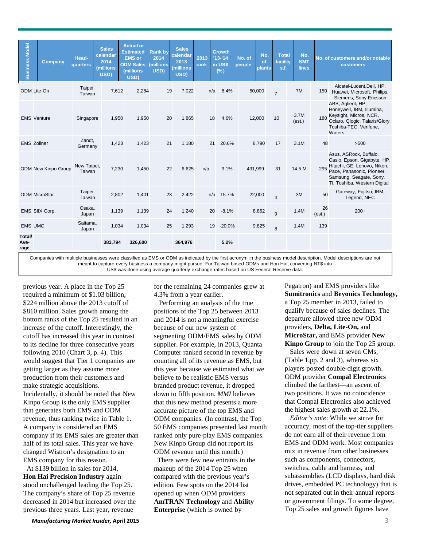| <b>Business Model</b>  | Company                    | Head-<br>quarters     | <b>Sales</b><br>calendar<br>2014<br>(millions<br>USD) | <b>Actual or</b><br><b>Estimated</b><br><b>EMS</b> or<br><b>ODM Sales</b><br>(millions<br>USD) | <b>Rankby</b><br>2014<br><b>millions</b><br>USD) | <b>Sales</b><br>calendar<br>2013<br>(millions<br>USD) | 2013<br>rank | <b>Growth</b><br>$113 - 14$<br>in US\$<br>$(\%)$ | No. of<br>people | No.<br>of<br><b>plants</b> | <b>Total</b><br>facility<br>s.f. | No.<br><b>SMT</b><br>lines |              | No. of customers and/or notable<br>customers                                                                                                                                 |  |
|------------------------|----------------------------|-----------------------|-------------------------------------------------------|------------------------------------------------------------------------------------------------|--------------------------------------------------|-------------------------------------------------------|--------------|--------------------------------------------------|------------------|----------------------------|----------------------------------|----------------------------|--------------|------------------------------------------------------------------------------------------------------------------------------------------------------------------------------|--|
|                        | ODM Lite-On                | Taipei,<br>Taiwan     | 7,612                                                 | 2,284                                                                                          | 19                                               | 7,022                                                 |              | 8.4%<br>n/a                                      |                  | 60,000                     | $\overline{7}$                   | 7M                         | 150          | Alcatel-Lucent, Dell, HP,<br>Huawei, Microsoft, Philips,<br>Siemens, Sony Ericsson                                                                                           |  |
|                        | <b>EMS Venture</b>         | Singapore             | 1,950                                                 | 1,950                                                                                          | 20                                               | 1,865                                                 |              | 4.6%<br>18                                       |                  | 12,000                     | 10                               | 3.7M<br>(est.)             | 180          | ABB, Aglient, HP,<br>Honeywell, IBM, Illumina,<br>Keysight, Micros, NCR,<br>Oclaro, Qlogic, Talaris/Glory,<br>Toshiba-TEC, Verifone,<br>Waters                               |  |
|                        | <b>EMS Zollner</b>         | Zandt,<br>Germany     | 1,423                                                 | 1,423                                                                                          | 21                                               | 1,180                                                 |              | 21<br>20.6%                                      |                  | 8,790                      | 17                               | 3.1M                       | 48           | >500                                                                                                                                                                         |  |
|                        | <b>ODM New Kinpo Group</b> | New Taipei,<br>Taiwan | 7,230                                                 | 1,450                                                                                          | 22                                               | 6,625                                                 | n/a          | 9.1%                                             | 431,999          |                            | 31                               | 14.5 M                     | 295          | Asus, ASRock, Buffalo,<br>Casio, Epson, Gigabyte, HP,<br>Hitachi, GE, Lenovo, Nikon,<br>Pace, Panasonic, Pioneer,<br>Samsung, Seagate, Sony,<br>TI, Toshiba, Western Digital |  |
|                        | <b>ODM MicroStar</b>       | Taipei,<br>Taiwan     | 2,802                                                 | 1,401                                                                                          | 23                                               | 2,422                                                 |              | n/a<br>15.7%                                     |                  | 22,000                     | $\overline{4}$                   | 3M                         | 50           | Gateway, Fujitsu, IBM,<br>Legend, NEC                                                                                                                                        |  |
|                        | EMS SIIX Corp.             | Osaka,<br>Japan       | 1,139                                                 | 1,139                                                                                          | 24                                               | 1,240                                                 |              | 20<br>$-8.1%$                                    |                  | 8,862                      | 9                                | 1.4M                       | 26<br>(est.) | $200+$                                                                                                                                                                       |  |
| <b>EMS UMC</b>         |                            | Saitama,<br>Japan     | 1,034                                                 | 1,034                                                                                          | 25                                               | 1,293                                                 |              | $-20.0%$<br>19                                   |                  | 9,825                      | 8                                | 1.4M                       | 139          |                                                                                                                                                                              |  |
| Total/<br>Ave-<br>rage |                            |                       | 383,794                                               | 326,600                                                                                        |                                                  | 364,976                                               |              | 5.2%                                             |                  |                            |                                  |                            |              |                                                                                                                                                                              |  |

Companies with multiple businesses were classified as EMS or ODM as indicated by the first acronym in the business model description. Model descriptions are not meant to capture every business a company might pursue. For Taiwan-based ODMs and Hon Hai, converting NT\$ into US\$ was done using average quarterly exchange rates based on US Federal Reserve data.

previous year. A place in the Top 25 required a minimum of \$1.03 billion, \$224 million above the 2013 cutoff of \$810 million. Sales growth among the bottom ranks of the Top 25 resulted in an increase of the cutoff. Interestingly, the cutoff has increased this year in contrast to its decline for three consecutive years following 2010 (Chart 3, p. 4). This would suggest that Tier 1 companies are getting larger as they assume more production from their customers and make strategic acquisitions. Incidentally, it should be noted that New Kinpo Group is the only EMS supplier that generates both EMS and ODM revenue, thus ranking twice in Table 1. A company is considered an EMS company if its EMS sales are greater than half of its total sales. This year we have changed Wistron's designation to an EMS company for this reason.

At \$139 billion in sales for 2014, **Hon Hai Precision Industry** again stood unchallenged leading the Top 25. The company's share of Top 25 revenue decreased in 2014 but increased over the previous three years. Last year, revenue

for the remaining 24 companies grew at 4.3% from a year earlier.

 Performing an analysis of the true positions of the Top 25 between 2013 and 2014 is not a meaningful exercise because of our new system of segmenting ODM/EMS sales by ODM supplier. For example, in 2013, Quanta Computer ranked second in revenue by counting all of its revenue as EMS, but this year because we estimated what we believe to be realistic EMS versus branded product revenue, it dropped down to fifth position. *MMI* believes that this new method presents a more accurate picture of the top EMS and ODM companies. (In contrast, the Top 50 EMS companies presented last month ranked only pure-play EMS companies. New Kinpo Group did not report its ODM revenue until this month.)

 There were few new entrants in the makeup of the 2014 Top 25 when compared with the previous year's edition. Few spots on the 2014 list opened up when ODM providers **AmTRAN Technology** and **Ability Enterprise** (which is owned by

Pegatron) and EMS providers like **Sumitronics** and **Beyonics Technology,** a Top 25 member in 2013, failed to qualify because of sales declines. The departure allowed three new ODM providers, **Delta, Lite-On,** and **MicroStar,** and EMS provider **New Kinpo Group** to join the Top 25 group.

 Sales were down at seven CMs, (Table 1,pp. 2 and 3), whereas six players posted double-digit growth. ODM provider **Compal Electronics** climbed the farthest—an ascent of two positions. It was no coincidence that Compal Electronics also achieved the highest sales growth at 22.1%.

 *Editor's note*: While we strive for accuracy, most of the top-tier suppliers do not earn all of their revenue from EMS and ODM work. Most companies mix in revenue from other businesses such as components, connectors, switches, cable and harness, and subassemblies (LCD displays, hard disk drives, embedded PC technology) that is not separated out in their annual reports or government filings. To some degree, Top 25 sales and growth figures have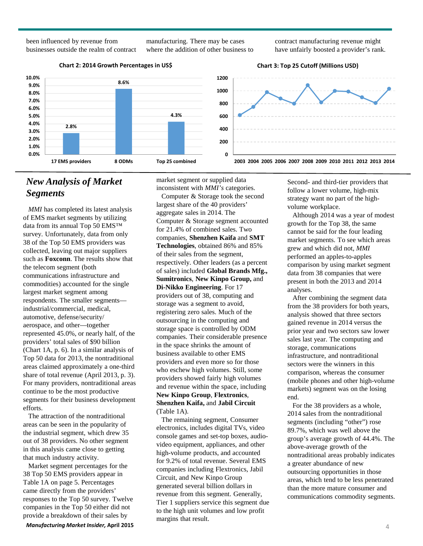been influenced by revenue from businesses outside the realm of contract manufacturing. There may be cases where the addition of other business to contract manufacturing revenue might have unfairly boosted a provider's rank.







# *New Analysis of Market Segments*

 *MMI* has completed its latest analysis of EMS market segments by utilizing data from its annual Top 50 EMS™ survey. Unfortunately, data from only 38 of the Top 50 EMS providers was collected, leaving out major suppliers such as **Foxconn**. The results show that the telecom segment (both communications infrastructure and commodities) accounted for the single largest market segment among respondents. The smaller segments industrial/commercial, medical, automotive, defense/security/ aerospace, and other—together represented 45.0%, or nearly half, of the providers' total sales of \$90 billion (Chart 1A, p. 6). In a similar analysis of Top 50 data for 2013, the nontraditional areas claimed approximately a one-third share of total revenue (April 2013, p. 3). For many providers, nontraditional areas continue to be the most productive segments for their business development efforts.

 The attraction of the nontraditional areas can be seen in the popularity of the industrial segment, which drew 35 out of 38 providers. No other segment in this analysis came close to getting that much industry activity.

 Market segment percentages for the 38 Top 50 EMS providers appear in Table 1A on page 5. Percentages came directly from the providers' responses to the Top 50 survey. Twelve companies in the Top 50 either did not provide a breakdown of their sales by

*Manufacturing Market Insider,* **April 2015** 4

market segment or supplied data inconsistent with *MMI's* categories.

 Computer & Storage took the second largest share of the 40 providers' aggregate sales in 2014. The Computer & Storage segment accounted for 21.4% of combined sales. Two companies, **Shenzhen Kaifa** and **SMT Technologies**, obtained 86% and 85% of their sales from the segment, respectively. Other leaders (as a percent of sales) included **Global Brands Mfg., Sumitronics**, **New Kinpo Group,** and **Di-Nikko Engineering**. For 17 providers out of 38, computing and storage was a segment to avoid, registering zero sales. Much of the outsourcing in the computing and storage space is controlled by ODM companies. Their considerable presence in the space shrinks the amount of business available to other EMS providers and even more so for those who eschew high volumes. Still, some providers showed fairly high volumes and revenue within the space, including **New Kinpo Group**, **Flextronics**, **Shenzhen Kaifa,** and **Jabil Circuit**  (Table 1A).

 The remaining segment, Consumer electronics, includes digital TVs, video console games and set-top boxes, audiovideo equipment, appliances, and other high-volume products, and accounted for 9.2% of total revenue. Several EMS companies including Flextronics, Jabil Circuit, and New Kinpo Group generated several billion dollars in revenue from this segment. Generally, Tier 1 suppliers service this segment due to the high unit volumes and low profit margins that result.

Second- and third-tier providers that follow a lower volume, high-mix strategy want no part of the highvolume workplace.

 Although 2014 was a year of modest growth for the Top 38, the same cannot be said for the four leading market segments. To see which areas grew and which did not, *MMI* performed an apples-to-apples comparison by using market segment data from 38 companies that were present in both the 2013 and 2014 analyses.

 After combining the segment data from the 38 providers for both years, analysis showed that three sectors gained revenue in 2014 versus the prior year and two sectors saw lower sales last year. The computing and storage, communications infrastructure, and nontraditional sectors were the winners in this comparison, whereas the consumer (mobile phones and other high-volume markets) segment was on the losing end.

 For the 38 providers as a whole, 2014 sales from the nontraditional segments (including "other") rose 89.7%, which was well above the group's average growth of 44.4%. The above-average growth of the nontraditional areas probably indicates a greater abundance of new outsourcing opportunities in those areas, which tend to be less penetrated than the more mature consumer and communications commodity segments.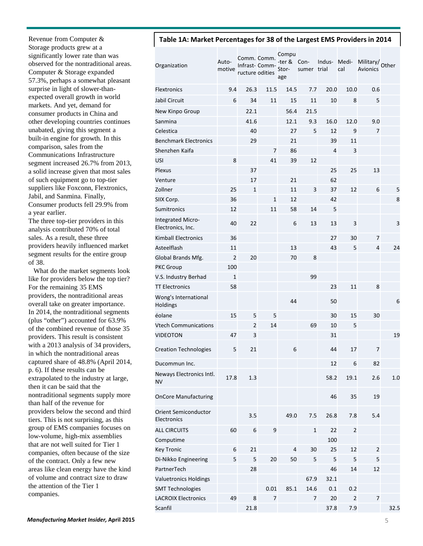Revenue from Computer & Storage products grew at a significantly lower rate than was observed for the nontraditional areas. Computer & Storage expanded 57.3%, perhaps a somewhat pleasant surprise in light of slower-thanexpected overall growth in world markets. And yet, demand for consumer products in China and other developing countries continues unabated, giving this segment a built-in engine for growth. In this comparison, sales from the Communications Infrastructure segment increased 26.7% from 2013, a solid increase given that most sales of such equipment go to top-tier suppliers like Foxconn, Flextronics, Jabil, and Sanmina. Finally, Consumer products fell 29.9% from a year earlier.

The three top-tier providers in this analysis contributed 70% of total sales. As a result, these three providers heavily influenced market segment results for the entire group of 38.

 What do the market segments look like for providers below the top tier? For the remaining 35 EMS providers, the nontraditional areas overall take on greater importance. In 2014, the nontraditional segments (plus "other") accounted for 63.9% of the combined revenue of those 35 providers. This result is consistent with a 2013 analysis of 34 providers, in which the nontraditional areas captured share of 48.8% (April 2014, p. 6). If these results can be extrapolated to the industry at large, then it can be said that the nontraditional segments supply more than half of the revenue for providers below the second and third tiers. This is not surprising, as this group of EMS companies focuses on low-volume, high-mix assemblies that are not well suited for Tier 1 companies, often because of the size of the contract. Only a few new areas like clean energy have the kind of volume and contract size to draw the attention of the Tier 1 companies.

### **Table 1A: Market Percentages for 38 of the Largest EMS Providers in 2014**

| Organization                                  | Auto-<br>motive | Comm. Comm.<br>Infrast- Comm-<br>ructure odities |                  | Compu<br>-ter &<br>Stor-<br>age | Con-<br>sumer trial | Indus- | Medi-<br>cal   | Military/ Other<br><b>Avionics</b> |      |
|-----------------------------------------------|-----------------|--------------------------------------------------|------------------|---------------------------------|---------------------|--------|----------------|------------------------------------|------|
| <b>Flextronics</b>                            | 9.4             | 26.3                                             | 11.5             | 14.5                            | 7.7                 | 20.0   | 10.0           | 0.6                                |      |
| Jabil Circuit                                 | 6               | 34                                               | 11               | 15                              | 11                  | 10     | 8              | 5                                  |      |
| New Kinpo Group                               |                 | 22.1                                             |                  | 56.4                            | 21.5                |        |                |                                    |      |
| Sanmina                                       |                 | 41.6                                             |                  | 12.1                            | 9.3                 | 16.0   | 12.0           | 9.0                                |      |
| Celestica                                     |                 | 40                                               |                  | 27                              | 5                   | 12     | 9              | 7                                  |      |
| <b>Benchmark Electronics</b>                  |                 | 29                                               |                  | 21                              |                     | 39     | 11             |                                    |      |
| Shenzhen Kaifa                                |                 |                                                  | 7                | 86                              |                     | 4      | 3              |                                    |      |
| USI                                           | 8               |                                                  | 41               | 39                              | 12                  |        |                |                                    |      |
| Plexus                                        |                 | 37                                               |                  |                                 |                     | 25     | 25             | 13                                 |      |
| Venture                                       |                 | 17                                               |                  | 21                              |                     | 62     |                |                                    |      |
| Zollner                                       | 25              | $\mathbf 1$                                      |                  | 11                              | 3                   | 37     | 12             | 6                                  | 5    |
| SIIX Corp.                                    | 36              |                                                  | $\mathbf 1$      | 12                              |                     | 42     |                |                                    | 8    |
| Sumitronics                                   | 12              |                                                  | 11               | 58                              | 14                  | 5      |                |                                    |      |
| <b>Integrated Micro-</b><br>Electronics, Inc. | 40              | 22                                               |                  | 6                               | 13                  | 13     | 3              |                                    | 3    |
| <b>Kimball Electronics</b>                    | 36              |                                                  |                  |                                 |                     | 27     | 30             | 7                                  |      |
| Asteelflash                                   | 11              |                                                  |                  | 13                              |                     | 43     | 5              | 4                                  | 24   |
| Global Brands Mfg.                            | $\overline{2}$  | 20                                               |                  | 70                              | 8                   |        |                |                                    |      |
| <b>PKC Group</b>                              | 100             |                                                  |                  |                                 |                     |        |                |                                    |      |
| V.S. Industry Berhad                          | $\mathbf{1}$    |                                                  |                  |                                 | 99                  |        |                |                                    |      |
| <b>TT Electronics</b>                         | 58              |                                                  |                  |                                 |                     | 23     | 11             | 8                                  |      |
| Wong's International<br>Holdings              |                 |                                                  |                  | 44                              |                     | 50     |                |                                    | 6    |
| éolane                                        | 15              | 5                                                | 5                |                                 |                     | 30     | 15             | 30                                 |      |
| <b>Vtech Communications</b>                   |                 | $\overline{2}$                                   | 14               |                                 | 69                  | 10     | 5              |                                    |      |
| VIDEOTON                                      | 47              | 3                                                |                  |                                 |                     | 31     |                |                                    | 19   |
| <b>Creation Technologies</b>                  | 5               | 21                                               |                  | 6                               |                     | 44     | 17             | 7                                  |      |
| Ducommun Inc.                                 |                 |                                                  |                  |                                 |                     | 12     | 6              | 82                                 |      |
| Neways Electronics Intl.<br>NV                | 17.8            | 1.3                                              |                  |                                 |                     | 58.2   | 19.1           | 2.6                                | 1.0  |
| <b>OnCore Manufacturing</b>                   |                 |                                                  |                  |                                 |                     | 46     | 35             | 19                                 |      |
| <b>Orient Semiconductor</b><br>Electronics    |                 | 3.5                                              |                  | 49.0                            | 7.5                 | 26.8   | 7.8            | 5.4                                |      |
| <b>ALL CIRCUITS</b>                           | 60              | 6                                                | $\boldsymbol{9}$ |                                 | $\mathbf 1$         | 22     | $\overline{c}$ |                                    |      |
| Computime                                     |                 |                                                  |                  |                                 |                     | 100    |                |                                    |      |
| <b>Key Tronic</b>                             | 6               | 21                                               |                  | $\overline{4}$                  | 30                  | 25     | 12             | $\overline{2}$                     |      |
| Di-Nikko Engineering                          | 5               | 5                                                | 20               | 50                              | 5                   | 5      | 5              | 5                                  |      |
| PartnerTech                                   |                 | 28                                               |                  |                                 |                     | 46     | 14             | 12                                 |      |
| <b>Valuetronics Holdings</b>                  |                 |                                                  |                  |                                 | 67.9                | 32.1   |                |                                    |      |
| <b>SMT Technologies</b>                       |                 |                                                  | 0.01             | 85.1                            | 14.6                | 0.1    | 0.2            |                                    |      |
| <b>LACROIX Electronics</b>                    | 49              | 8                                                | $\overline{7}$   |                                 | 7                   | 20     | $\overline{2}$ | $\overline{7}$                     |      |
| Scanfil                                       |                 | 21.8                                             |                  |                                 |                     | 37.8   | 7.9            |                                    | 32.5 |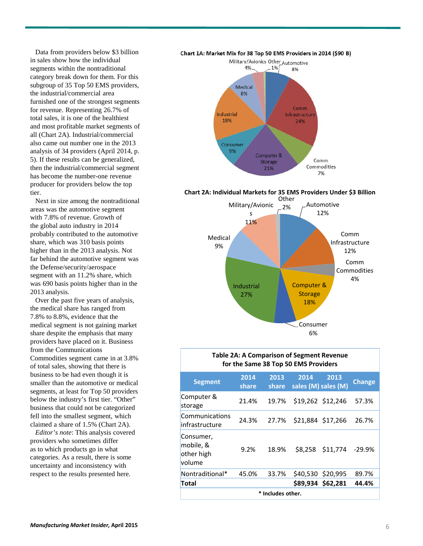Data from providers below \$3 billion in sales show how the individual segments within the nontraditional category break down for them. For this subgroup of 35 Top 50 EMS providers, the industrial/commercial area furnished one of the strongest segments for revenue. Representing 26.7% of total sales, it is one of the healthiest and most profitable market segments of all (Chart 2A). Industrial/commercial also came out number one in the 2013 analysis of 34 providers (April 2014, p. 5). If these results can be generalized, then the industrial/commercial segment has become the number-one revenue producer for providers below the top tier.

 Next in size among the nontraditional areas was the automotive segment with 7.8% of revenue. Growth of the global auto industry in 2014 probably contributed to the automotive share, which was 310 basis points higher than in the 2013 analysis. Not far behind the automotive segment was the Defense/security/aerospace segment with an 11.2% share, which was 690 basis points higher than in the 2013 analysis.

 Over the past five years of analysis, the medical share has ranged from 7.8% to 8.8%, evidence that the medical segment is not gaining market share despite the emphasis that many providers have placed on it. Business from the Communications Commodities segment came in at 3.8% of total sales, showing that there is business to be had even though it is smaller than the automotive or medical segments, at least for Top 50 providers below the industry's first tier. "Other" business that could not be categorized fell into the smallest segment, which claimed a share of 1.5% (Chart 2A).

 *Editor's note*: This analysis covered providers who sometimes differ as to which products go in what categories. As a result, there is some uncertainty and inconsistency with respect to the results presented here.





**Chart 2A: Individual Markets for 35 EMS Providers Under \$3 Billion**



#### **Table 2A: A Comparison of Segment Revenue for the Same 38 Top 50 EMS Providers**

| <b>Segment</b>                                 | 2014<br>share   | 2013<br>share | 2014 | 2013<br>sales (M) sales (M) | <b>Change</b> |  |  |  |  |
|------------------------------------------------|-----------------|---------------|------|-----------------------------|---------------|--|--|--|--|
| Computer &<br>storage                          | 21.4%           | 19.7%         |      | \$19,262 \$12,246           | 57.3%         |  |  |  |  |
| Communications<br>infrastructure               | 24.3%           | 27.7%         |      | \$21,884 \$17,266           | 26.7%         |  |  |  |  |
| Consumer,<br>mobile, &<br>other high<br>volume | 9.2%            | 18.9%         |      | \$8,258 \$11,774            | -29.9%        |  |  |  |  |
| Nontraditional*                                | 45.0%           | 33.7%         |      | \$40,530 \$20,995           | 89.7%         |  |  |  |  |
| Total                                          |                 |               |      | \$89,934 \$62,281           | 44.4%         |  |  |  |  |
|                                                | Includes other. |               |      |                             |               |  |  |  |  |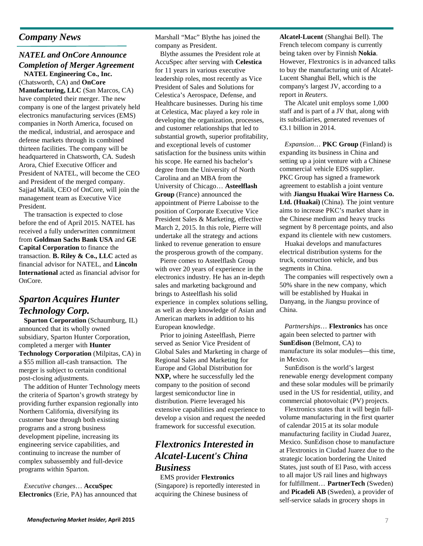### *Company News*

### *NATEL and OnCore Announce Completion of Merger Agreement*

 **NATEL Engineering Co., Inc.**  (Chatsworth, CA) and **OnCore Manufacturing, LLC** (San Marcos, CA) have completed their merger. The new company is one of the largest privately held electronics manufacturing services (EMS) companies in North America, focused on the medical, industrial, and aerospace and defense markets through its combined thirteen facilities. The company will be headquartered in Chatsworth, CA. Sudesh Arora, Chief Executive Officer and President of NATEL, will become the CEO and President of the merged company. Sajjad Malik, CEO of OnCore, will join the management team as Executive Vice President.

 The transaction is expected to close before the end of April 2015. NATEL has received a fully underwritten commitment from **Goldman Sachs Bank USA** and **GE Capital Corporation** to finance the transaction. **B. Riley & Co., LLC** acted as financial advisor for NATEL, and **Lincoln International** acted as financial advisor for OnCore.

# *Sparton Acquires Hunter Technology Corp.*

**Sparton Corporation** *(Schaumburg, IL)* announced that its wholly owned subsidiary, Sparton Hunter Corporation, completed a merger with **Hunter Technology Corporation** (Milpitas, CA) in a \$55 million all-cash transaction. The merger is subject to certain conditional post-closing adjustments.

 The addition of Hunter Technology meets the criteria of Sparton's growth strategy by providing further expansion regionally into Northern California, diversifying its customer base through both existing programs and a strong business development pipeline, increasing its engineering service capabilities, and continuing to increase the number of complex subassembly and full-device programs within Sparton.

 *Executive changes*… **AccuSpec Electronics** (Erie, PA) has announced that Marshall "Mac" Blythe has joined the company as President.

 Blythe assumes the President role at AccuSpec after serving with **Celestica** for 11 years in various executive leadership roles, most recently as Vice President of Sales and Solutions for Celestica's Aerospace, Defense, and Healthcare businesses. During his time at Celestica, Mac played a key role in developing the organization, processes, and customer relationships that led to substantial growth, superior profitability, and exceptional levels of customer satisfaction for the business units within his scope. He earned his bachelor's degree from the University of North Carolina and an MBA from the University of Chicago… **Asteelflash Group** (France) announced the appointment of Pierre Laboisse to the position of Corporate Executive Vice President Sales & Marketing, effective March 2, 2015. In this role, Pierre will undertake all the strategy and actions linked to revenue generation to ensure the prosperous growth of the company.

 Pierre comes to Asteelflash Group with over 20 years of experience in the electronics industry. He has an in-depth sales and marketing background and brings to Asteelflash his solid experience in complex solutions selling, as well as deep knowledge of Asian and American markets in addition to his European knowledge.

 Prior to joining Asteelflash, Pierre served as Senior Vice President of Global Sales and Marketing in charge of Regional Sales and Marketing for Europe and Global Distribution for **NXP,** where he successfully led the company to the position of second largest semiconductor line in distribution. Pierre leveraged his extensive capabilities and experience to develop a vision and request the needed framework for successful execution.

# *Flextronics Interested in Alcatel-Lucent's China Business*

 EMS provider **Flextronics** (Singapore) is reportedly interested in acquiring the Chinese business of

**Alcatel-Lucent** (Shanghai Bell). The French telecom company is currently being taken over by Finnish **Nokia**. However, Flextronics is in advanced talks to buy the manufacturing unit of Alcatel-Lucent Shanghai Bell, which is the company's largest JV, according to a report in *Reuters*.

 The Alcatel unit employs some 1,000 staff and is part of a JV that, along with its subsidiaries, generated revenues of  $\bigoplus$  1 billion in 2014.

 *Expansion*… **PKC Group** (Finland) is expanding its business in China and setting up a joint venture with a Chinese commercial vehicle EDS supplier. PKC Group has signed a framework agreement to establish a joint venture with **Jiangsu Huakai Wire Harness Co.**  Ltd. (Huakai) (China). The joint venture aims to increase PKC's market share in the Chinese medium and heavy trucks segment by 8 percentage points, and also expand its clientele with new customers.

 Huakai develops and manufactures electrical distribution systems for the truck, construction vehicle, and bus segments in China.

 The companies will respectively own a 50% share in the new company, which will be established by Huakai in Danyang, in the Jiangsu province of China.

 *Partnerships*… **Flextronics** has once again been selected to partner with **SunEdison** (Belmont, CA) to manufacture its solar modules—this time, in Mexico.

 SunEdison is the world's largest renewable energy development company and these solar modules will be primarily used in the US for residential, utility, and commercial photovoltaic (PV) projects.

 Flextronics states that it will begin fullvolume manufacturing in the first quarter of calendar 2015 at its solar module manufacturing facility in Ciudad Juarez, Mexico. SunEdison chose to manufacture at Flextronics in Ciudad Juarez due to the strategic location bordering the United States, just south of El Paso, with access to all major US rail lines and highways for fulfillment… **PartnerTech** (Sweden) and **Picadeli AB** (Sweden), a provider of self-service salads in grocery shops in